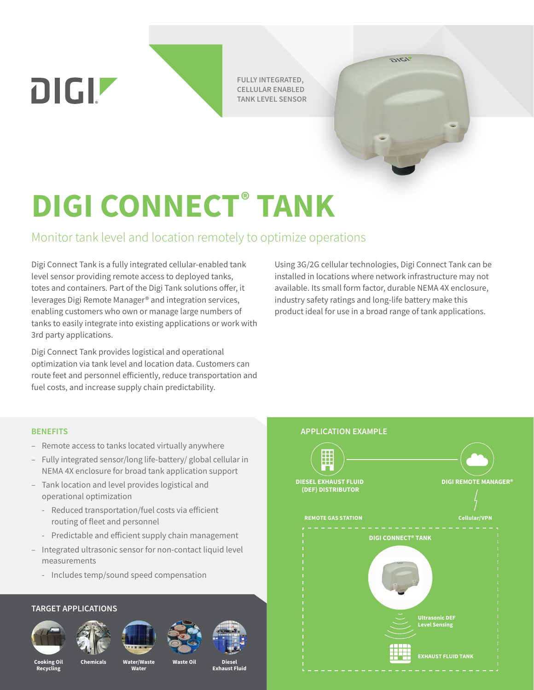**FULLY INTEGRATED, CELLULAR ENABLED TANK LEVEL SENSOR**

## **DIGI CONNECT® TANK**

## Monitor tank level and location remotely to optimize operations

Digi Connect Tank is a fully integrated cellular-enabled tank level sensor providing remote access to deployed tanks, totes and containers. Part of the Digi Tank solutions offer, it leverages Digi Remote Manager® and integration services, enabling customers who own or manage large numbers of tanks to easily integrate into existing applications or work with 3rd party applications.

Digi Connect Tank provides logistical and operational optimization via tank level and location data. Customers can route feet and personnel efficiently, reduce transportation and fuel costs, and increase supply chain predictability.

Using 3G/2G cellular technologies, Digi Connect Tank can be installed in locations where network infrastructure may not available. Its small form factor, durable NEMA 4X enclosure, industry safety ratings and long-life battery make this product ideal for use in a broad range of tank applications.

**IDIG** 

## **BENEFITS**

DIGIZ

- Remote access to tanks located virtually anywhere
- Fully integrated sensor/long life-battery/ global cellular in NEMA 4X enclosure for broad tank application support
- Tank location and level provides logistical and operational optimization
	- Reduced transportation/fuel costs via efficient routing of fleet and personnel
	- Predictable and efficient supply chain management
- Integrated ultrasonic sensor for non-contact liquid level measurements
	- Includes temp/sound speed compensation

## **TARGET APPLICATIONS**













**Cooking Oil Recycling**

**Water/Waste Chemicals Waste Oil**

**Water**

**Exhaust Fluid**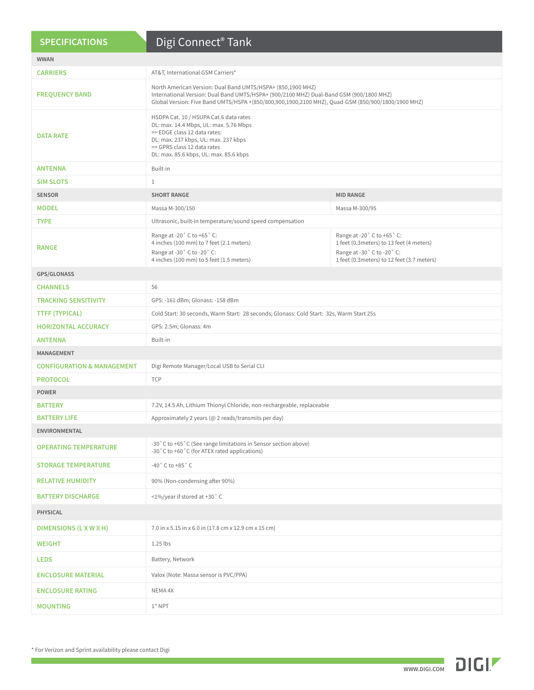| <b>SPECIFICATIONS</b>                 | Digi Connect <sup>®</sup> Tank                                                                                                                                                                                                                               |                                                                                                                                                      |  |
|---------------------------------------|--------------------------------------------------------------------------------------------------------------------------------------------------------------------------------------------------------------------------------------------------------------|------------------------------------------------------------------------------------------------------------------------------------------------------|--|
| <b>WWAN</b>                           |                                                                                                                                                                                                                                                              |                                                                                                                                                      |  |
| <b>CARRIERS</b>                       | AT&T, International GSM Carriers*                                                                                                                                                                                                                            |                                                                                                                                                      |  |
| <b>FREQUENCY BAND</b>                 | North American Version: Dual Band UMTS/HSPA+ (850,1900 MHZ)<br>International Version: Dual Band UMTS/HSPA+ (900/2100 MHZ) Dual-Band GSM (900/1800 MHZ)<br>Global Version: Five Band UMTS/HSPA +(850/800,900,1900,2100 MHZ), Quad-GSM (850/900/1800/1900 MHZ) |                                                                                                                                                      |  |
| <b>DATA RATE</b>                      | HSDPA Cat. 10 / HSUPA Cat.6 data rates<br>DL: max. 14.4 Mbps, UL: max. 5.76 Mbps<br>>> EDGE class 12 data rates:<br>DL: max. 237 kbps, UL: max. 237 kbps<br>>> GPRS class 12 data rates<br>DL: max. 85.6 kbps, UL: max. 85.6 kbps                            |                                                                                                                                                      |  |
| <b>ANTENNA</b>                        | Built-in                                                                                                                                                                                                                                                     |                                                                                                                                                      |  |
| <b>SIM SLOTS</b>                      | $\mathbf{1}$                                                                                                                                                                                                                                                 |                                                                                                                                                      |  |
| <b>SENSOR</b>                         | <b>SHORT RANGE</b>                                                                                                                                                                                                                                           | <b>MID RANGE</b>                                                                                                                                     |  |
| <b>MODEL</b>                          | Massa M-300/150                                                                                                                                                                                                                                              | Massa M-300/95                                                                                                                                       |  |
| <b>TYPE</b>                           | Ultrasonic, built-in temperature/sound speed compensation                                                                                                                                                                                                    |                                                                                                                                                      |  |
| <b>RANGE</b>                          | Range at -20° C to +65° C:<br>4 inches (100 mm) to 7 feet (2.1 meters)<br>Range at -30° C to -20° C:<br>4 inches (100 mm) to 5 feet (1.5 meters)                                                                                                             | Range at -20° C to +65° C:<br>1 feet (0.3 meters) to 13 feet (4 meters)<br>Range at -30° C to -20° C:<br>1 feet (0.3 meters) to 12 feet (3.7 meters) |  |
| GPS/GLONASS                           |                                                                                                                                                                                                                                                              |                                                                                                                                                      |  |
| <b>CHANNELS</b>                       | 56                                                                                                                                                                                                                                                           |                                                                                                                                                      |  |
| <b>TRACKING SENSITIVITY</b>           | GPS: -161 dBm; Glonass: -158 dBm                                                                                                                                                                                                                             |                                                                                                                                                      |  |
| <b>TTFF (TYPICAL)</b>                 | Cold Start: 30 seconds, Warm Start: 28 seconds; Glonass: Cold Start: 32s, Warm Start 25s                                                                                                                                                                     |                                                                                                                                                      |  |
| <b>HORIZONTAL ACCURACY</b>            | GPS: 2.5m; Glonass: 4m                                                                                                                                                                                                                                       |                                                                                                                                                      |  |
| ANTENNA                               | Built-in                                                                                                                                                                                                                                                     |                                                                                                                                                      |  |
| MANAGEMENT                            |                                                                                                                                                                                                                                                              |                                                                                                                                                      |  |
| <b>CONFIGURATION &amp; MANAGEMENT</b> | Digi Remote Manager/Local USB to Serial CLI                                                                                                                                                                                                                  |                                                                                                                                                      |  |
| <b>PROTOCOL</b>                       | <b>TCP</b>                                                                                                                                                                                                                                                   |                                                                                                                                                      |  |
| <b>POWER</b>                          |                                                                                                                                                                                                                                                              |                                                                                                                                                      |  |
| <b>BATTERY</b>                        | 7.2V, 14.5 Ah, Lithium Thionyl Chloride, non-rechargeable, replaceable                                                                                                                                                                                       |                                                                                                                                                      |  |
| <b>BATTERY LIFE</b>                   | Approximately 2 years (@ 2 reads/transmits per day)                                                                                                                                                                                                          |                                                                                                                                                      |  |
| <b>ENVIRONMENTAL</b>                  |                                                                                                                                                                                                                                                              |                                                                                                                                                      |  |
| <b>OPERATING TEMPERATURE</b>          | -30°C to +65°C (See range limitations in Sensor section above)<br>-30°C to +60°C (for ATEX rated applications)                                                                                                                                               |                                                                                                                                                      |  |
| <b>STORAGE TEMPERATURE</b>            | $-40$ $^{\circ}$ C to $+85$ $^{\circ}$ C                                                                                                                                                                                                                     |                                                                                                                                                      |  |
| <b>RELATIVE HUMIDITY</b>              | 90% (Non-condensing after 90%)                                                                                                                                                                                                                               |                                                                                                                                                      |  |
| <b>BATTERY DISCHARGE</b>              | <1%/year if stored at +30°C                                                                                                                                                                                                                                  |                                                                                                                                                      |  |
| <b>PHYSICAL</b>                       |                                                                                                                                                                                                                                                              |                                                                                                                                                      |  |
| DIMENSIONS (L X W X H)                | 7.0 in x 5.15 in x 6.0 in (17.8 cm x 12.9 cm x 15 cm)                                                                                                                                                                                                        |                                                                                                                                                      |  |
| <b>WEIGHT</b>                         | $1.25$ lbs                                                                                                                                                                                                                                                   |                                                                                                                                                      |  |
| <b>LEDS</b>                           | Battery, Network                                                                                                                                                                                                                                             |                                                                                                                                                      |  |
| <b>ENCLOSURE MATERIAL</b>             | Valox (Note: Massa sensor is PVC/PPA)                                                                                                                                                                                                                        |                                                                                                                                                      |  |
| <b>ENCLOSURE RATING</b>               | NEMA 4X                                                                                                                                                                                                                                                      |                                                                                                                                                      |  |
| <b>MOUNTING</b>                       | $1"$ NPT                                                                                                                                                                                                                                                     |                                                                                                                                                      |  |